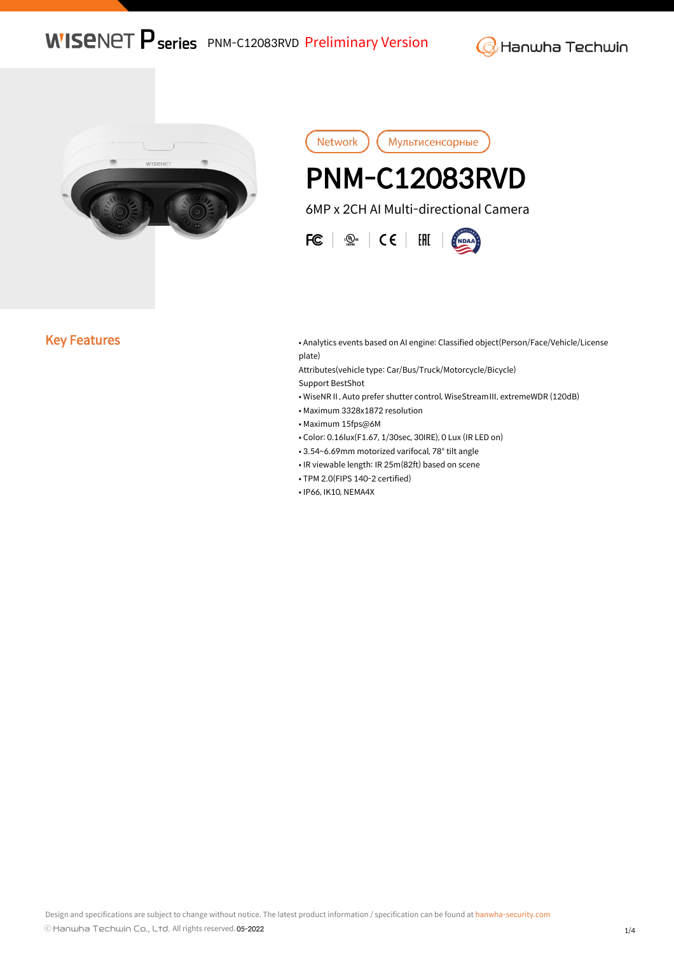**WISENET P series** PNM-C12083RVD Preliminary Version

**G** Hanwha Techwin



Network Мультисенсорные I, PNM-C12083RVD 6MP x 2CH AI Multi-directional Camera

 $FC \mid \mathcal{Q}_\text{max} \mid \mathsf{CE} \mid \mathsf{HH}$ 

Key Features **• Analytics events based on AI engine: Classified object(Person/Face/Vehicle/License** plate)

> Attributes(vehicle type: Car/Bus/Truck/Motorcycle/Bicycle) Support BestShot

- WiseNRⅡ, Auto prefer shutter control, WiseStreamⅢ, extremeWDR (120dB)
- Maximum 3328x1872 resolution
- Maximum 15fps@6M
- Color: 0.16lux(F1.67, 1/30sec, 30IRE), 0 Lux (IR LED on)
- 3.54~6.69mm motorized varifocal, 78° tilt angle
- IR viewable length: IR 25m(82ft) based on scene
- TPM 2.0(FIPS 140-2 certified)
- IP66, IK10, NEMA4X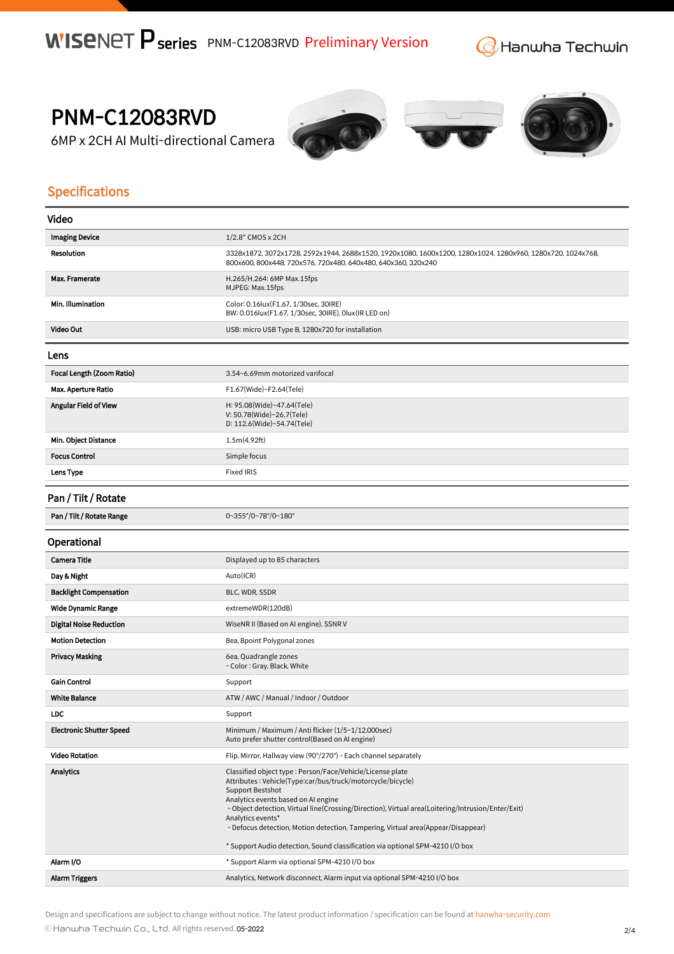**G** Hanwha Techwin

PNM-C12083RVD

6MP x 2CH AI Multi-directional Camera







## Specifications

| Video                           |                                                                                                                                                                                                                                                                                                                                                                                                                                                                                            |
|---------------------------------|--------------------------------------------------------------------------------------------------------------------------------------------------------------------------------------------------------------------------------------------------------------------------------------------------------------------------------------------------------------------------------------------------------------------------------------------------------------------------------------------|
| <b>Imaging Device</b>           | 1/2.8" CMOS x 2CH                                                                                                                                                                                                                                                                                                                                                                                                                                                                          |
| <b>Resolution</b>               | 3328x1872, 3072x1728, 2592x1944, 2688x1520, 1920x1080, 1600x1200, 1280x1024, 1280x960, 1280x720, 1024x768,<br>800x600, 800x448, 720x576, 720x480, 640x480, 640x360, 320x240                                                                                                                                                                                                                                                                                                                |
| Max. Framerate                  | H.265/H.264: 6MP Max.15fps<br>MJPEG: Max.15fps                                                                                                                                                                                                                                                                                                                                                                                                                                             |
| Min. Illumination               | Color: 0.16lux(F1.67, 1/30sec, 30IRE)<br>BW: 0.016lux(F1.67, 1/30sec, 30IRE), 0lux(IR LED on)                                                                                                                                                                                                                                                                                                                                                                                              |
| Video Out                       | USB: micro USB Type B, 1280x720 for installation                                                                                                                                                                                                                                                                                                                                                                                                                                           |
| Lens                            |                                                                                                                                                                                                                                                                                                                                                                                                                                                                                            |
| Focal Length (Zoom Ratio)       | 3.54~6.69mm motorized varifocal                                                                                                                                                                                                                                                                                                                                                                                                                                                            |
| <b>Max. Aperture Ratio</b>      | F1.67(Wide)~F2.64(Tele)                                                                                                                                                                                                                                                                                                                                                                                                                                                                    |
| <b>Angular Field of View</b>    | H: 95.08(Wide)~47.64(Tele)<br>V: 50.78(Wide)~26.7(Tele)<br>D: 112.6(Wide)~54.74(Tele)                                                                                                                                                                                                                                                                                                                                                                                                      |
| Min. Object Distance            | 1.5m(4.92ft)                                                                                                                                                                                                                                                                                                                                                                                                                                                                               |
| <b>Focus Control</b>            | Simple focus                                                                                                                                                                                                                                                                                                                                                                                                                                                                               |
| Lens Type                       | <b>Fixed IRIS</b>                                                                                                                                                                                                                                                                                                                                                                                                                                                                          |
| Pan / Tilt / Rotate             |                                                                                                                                                                                                                                                                                                                                                                                                                                                                                            |
| Pan / Tilt / Rotate Range       | 0~355°/0~78°/0~180°                                                                                                                                                                                                                                                                                                                                                                                                                                                                        |
| Operational                     |                                                                                                                                                                                                                                                                                                                                                                                                                                                                                            |
| <b>Camera Title</b>             | Displayed up to 85 characters                                                                                                                                                                                                                                                                                                                                                                                                                                                              |
| Day & Night                     | Auto(ICR)                                                                                                                                                                                                                                                                                                                                                                                                                                                                                  |
| <b>Backlight Compensation</b>   | BLC, WDR, SSDR                                                                                                                                                                                                                                                                                                                                                                                                                                                                             |
| <b>Wide Dynamic Range</b>       | extremeWDR(120dB)                                                                                                                                                                                                                                                                                                                                                                                                                                                                          |
| <b>Digital Noise Reduction</b>  | WiseNR II (Based on AI engine), SSNR V                                                                                                                                                                                                                                                                                                                                                                                                                                                     |
| <b>Motion Detection</b>         | 8ea, 8point Polygonal zones                                                                                                                                                                                                                                                                                                                                                                                                                                                                |
| <b>Privacy Masking</b>          | 6ea, Quadrangle zones<br>- Color: Gray, Black, White                                                                                                                                                                                                                                                                                                                                                                                                                                       |
| <b>Gain Control</b>             | Support                                                                                                                                                                                                                                                                                                                                                                                                                                                                                    |
| <b>White Balance</b>            | ATW / AWC / Manual / Indoor / Outdoor                                                                                                                                                                                                                                                                                                                                                                                                                                                      |
| <b>LDC</b>                      | Support                                                                                                                                                                                                                                                                                                                                                                                                                                                                                    |
| <b>Electronic Shutter Speed</b> | Minimum / Maximum / Anti flicker (1/5~1/12,000sec)<br>Auto prefer shutter control(Based on AI engine)                                                                                                                                                                                                                                                                                                                                                                                      |
| <b>Video Rotation</b>           | Flip, Mirror, Hallway view (90°/270°) - Each channel separately                                                                                                                                                                                                                                                                                                                                                                                                                            |
| <b>Analytics</b>                | Classified object type : Person/Face/Vehicle/License plate<br>Attributes: Vehicle(Type:car/bus/truck/motorcycle/bicycle)<br><b>Support Bestshot</b><br>Analytics events based on AI engine<br>- Object detection, Virtual line(Crossing/Direction), Virtual area(Loitering/Intrusion/Enter/Exit)<br>Analytics events*<br>- Defocus detection, Motion detection, Tampering, Virtual area(Appear/Disappear)<br>* Support Audio detection, Sound classification via optional SPM-4210 I/O box |
| Alarm I/O                       | * Support Alarm via optional SPM-4210 I/O box                                                                                                                                                                                                                                                                                                                                                                                                                                              |
| <b>Alarm Triggers</b>           | Analytics, Network disconnect, Alarm input via optional SPM-4210 I/O box                                                                                                                                                                                                                                                                                                                                                                                                                   |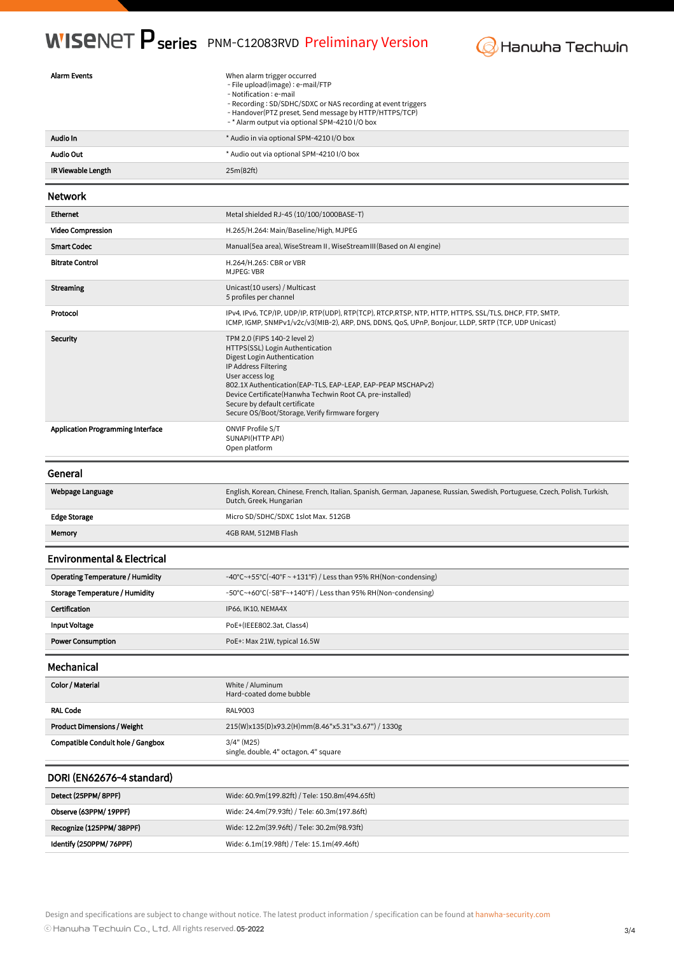## **WISENET P series** PNM-C12083RVD Preliminary Version



| <b>Alarm Events</b>                      | When alarm trigger occurred<br>- File upload(image) : e-mail/FTP<br>- Notification : e-mail<br>- Recording: SD/SDHC/SDXC or NAS recording at event triggers<br>- Handover(PTZ preset, Send message by HTTP/HTTPS/TCP)<br>-* Alarm output via optional SPM-4210 I/O box                                                                                     |
|------------------------------------------|------------------------------------------------------------------------------------------------------------------------------------------------------------------------------------------------------------------------------------------------------------------------------------------------------------------------------------------------------------|
| Audio In                                 | * Audio in via optional SPM-4210 I/O box                                                                                                                                                                                                                                                                                                                   |
| <b>Audio Out</b>                         | * Audio out via optional SPM-4210 I/O box                                                                                                                                                                                                                                                                                                                  |
| IR Viewable Length                       | 25m(82ft)                                                                                                                                                                                                                                                                                                                                                  |
| <b>Network</b>                           |                                                                                                                                                                                                                                                                                                                                                            |
| <b>Ethernet</b>                          | Metal shielded RJ-45 (10/100/1000BASE-T)                                                                                                                                                                                                                                                                                                                   |
| <b>Video Compression</b>                 | H.265/H.264: Main/Baseline/High, MJPEG                                                                                                                                                                                                                                                                                                                     |
| <b>Smart Codec</b>                       | Manual (5ea area), WiseStream II, WiseStream III (Based on AI engine)                                                                                                                                                                                                                                                                                      |
| <b>Bitrate Control</b>                   | H.264/H.265: CBR or VBR<br>MJPEG: VBR                                                                                                                                                                                                                                                                                                                      |
| <b>Streaming</b>                         | Unicast(10 users) / Multicast<br>5 profiles per channel                                                                                                                                                                                                                                                                                                    |
| Protocol                                 | IPv4, IPv6, TCP/IP, UDP/IP, RTP(UDP), RTP(TCP), RTCP, RTSP, NTP, HTTP, HTTPS, SSL/TLS, DHCP, FTP, SMTP,<br>ICMP, IGMP, SNMPv1/v2c/v3(MIB-2), ARP, DNS, DDNS, QoS, UPnP, Bonjour, LLDP, SRTP (TCP, UDP Unicast)                                                                                                                                             |
| <b>Security</b>                          | TPM 2.0 (FIPS 140-2 level 2)<br>HTTPS(SSL) Login Authentication<br>Digest Login Authentication<br>IP Address Filtering<br>User access log<br>802.1X Authentication (EAP-TLS, EAP-LEAP, EAP-PEAP MSCHAPv2)<br>Device Certificate(Hanwha Techwin Root CA, pre-installed)<br>Secure by default certificate<br>Secure OS/Boot/Storage, Verify firmware forgery |
| <b>Application Programming Interface</b> | <b>ONVIF Profile S/T</b><br>SUNAPI(HTTP API)<br>Open platform                                                                                                                                                                                                                                                                                              |
|                                          |                                                                                                                                                                                                                                                                                                                                                            |
| General                                  |                                                                                                                                                                                                                                                                                                                                                            |
| Webpage Language                         | English, Korean, Chinese, French, Italian, Spanish, German, Japanese, Russian, Swedish, Portuguese, Czech, Polish, Turkish,<br>Dutch, Greek, Hungarian                                                                                                                                                                                                     |
| <b>Edge Storage</b>                      | Micro SD/SDHC/SDXC 1slot Max. 512GB                                                                                                                                                                                                                                                                                                                        |
| Memory                                   | 4GB RAM, 512MB Flash                                                                                                                                                                                                                                                                                                                                       |
| <b>Environmental &amp; Electrical</b>    |                                                                                                                                                                                                                                                                                                                                                            |
| <b>Operating Temperature / Humidity</b>  | -40°C~+55°C(-40°F~+131°F) / Less than 95% RH(Non-condensing)                                                                                                                                                                                                                                                                                               |
| <b>Storage Temperature / Humidity</b>    | -50°C~+60°C(-58°F~+140°F) / Less than 95% RH(Non-condensing)                                                                                                                                                                                                                                                                                               |
| Certification                            | IP66, IK10, NEMA4X                                                                                                                                                                                                                                                                                                                                         |
| <b>Input Voltage</b>                     | PoE+(IEEE802.3at, Class4)                                                                                                                                                                                                                                                                                                                                  |
| <b>Power Consumption</b>                 | PoE+: Max 21W, typical 16.5W                                                                                                                                                                                                                                                                                                                               |
| Mechanical                               |                                                                                                                                                                                                                                                                                                                                                            |
| Color / Material                         | White / Aluminum<br>Hard-coated dome bubble                                                                                                                                                                                                                                                                                                                |
| <b>RAL Code</b>                          | RAL9003                                                                                                                                                                                                                                                                                                                                                    |
| <b>Product Dimensions / Weight</b>       | 215(W)x135(D)x93.2(H)mm(8.46"x5.31"x3.67") / 1330g                                                                                                                                                                                                                                                                                                         |
| <b>Compatible Conduit hole / Gangbox</b> | $3/4"$ (M25)<br>single, double, 4" octagon, 4" square                                                                                                                                                                                                                                                                                                      |
| DORI (EN62676-4 standard)                |                                                                                                                                                                                                                                                                                                                                                            |
| Detect (25PPM/ 8PPF)                     | Wide: 60.9m(199.82ft) / Tele: 150.8m(494.65ft)                                                                                                                                                                                                                                                                                                             |
| Observe (63PPM/ 19PPF)                   | Wide: 24.4m(79.93ft) / Tele: 60.3m(197.86ft)                                                                                                                                                                                                                                                                                                               |
| Recognize (125PPM/ 38PPF)                | Wide: 12.2m(39.96ft) / Tele: 30.2m(98.93ft)                                                                                                                                                                                                                                                                                                                |